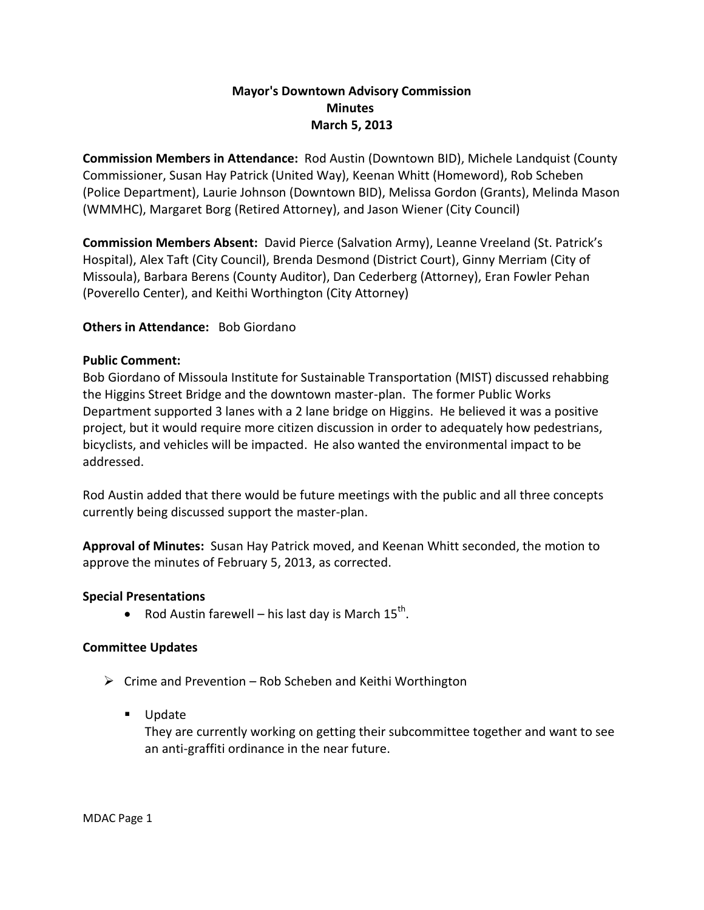## **Mayor's Downtown Advisory Commission Minutes March 5, 2013**

**Commission Members in Attendance:** Rod Austin (Downtown BID), Michele Landquist (County Commissioner, Susan Hay Patrick (United Way), Keenan Whitt (Homeword), Rob Scheben (Police Department), Laurie Johnson (Downtown BID), Melissa Gordon (Grants), Melinda Mason (WMMHC), Margaret Borg (Retired Attorney), and Jason Wiener (City Council)

**Commission Members Absent:** David Pierce (Salvation Army), Leanne Vreeland (St. Patrick's Hospital), Alex Taft (City Council), Brenda Desmond (District Court), Ginny Merriam (City of Missoula), Barbara Berens (County Auditor), Dan Cederberg (Attorney), Eran Fowler Pehan (Poverello Center), and Keithi Worthington (City Attorney)

### **Others in Attendance:** Bob Giordano

### **Public Comment:**

Bob Giordano of Missoula Institute for Sustainable Transportation (MIST) discussed rehabbing the Higgins Street Bridge and the downtown master-plan. The former Public Works Department supported 3 lanes with a 2 lane bridge on Higgins. He believed it was a positive project, but it would require more citizen discussion in order to adequately how pedestrians, bicyclists, and vehicles will be impacted. He also wanted the environmental impact to be addressed.

Rod Austin added that there would be future meetings with the public and all three concepts currently being discussed support the master-plan.

**Approval of Minutes:** Susan Hay Patrick moved, and Keenan Whitt seconded, the motion to approve the minutes of February 5, 2013, as corrected.

### **Special Presentations**

• Rod Austin farewell – his last day is March  $15^{th}$ .

### **Committee Updates**

- $\triangleright$  Crime and Prevention Rob Scheben and Keithi Worthington
	- **Update**

They are currently working on getting their subcommittee together and want to see an anti-graffiti ordinance in the near future.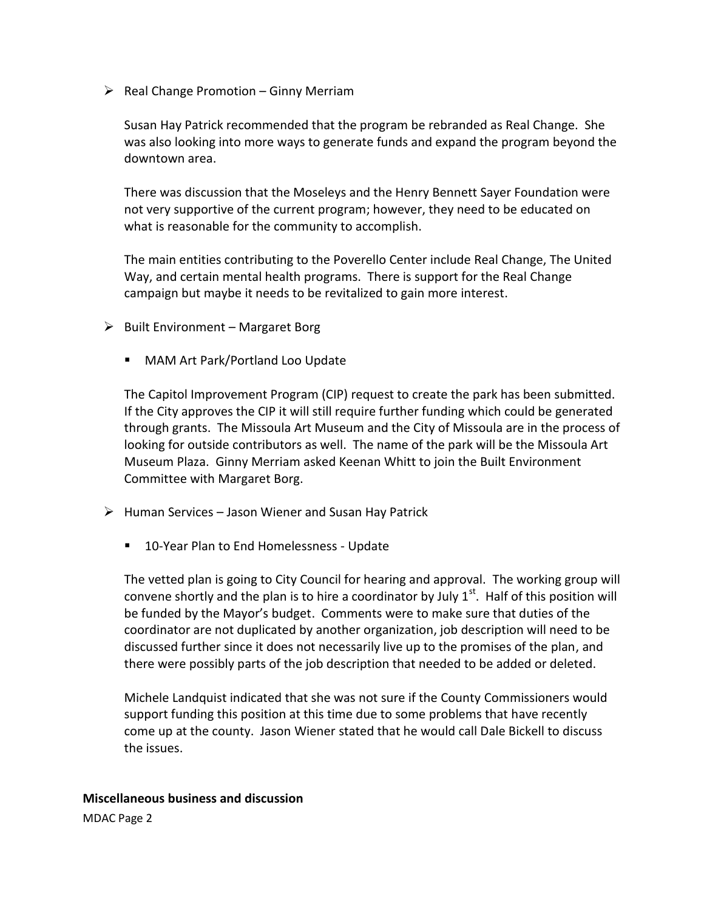$\triangleright$  Real Change Promotion – Ginny Merriam

Susan Hay Patrick recommended that the program be rebranded as Real Change. She was also looking into more ways to generate funds and expand the program beyond the downtown area.

There was discussion that the Moseleys and the Henry Bennett Sayer Foundation were not very supportive of the current program; however, they need to be educated on what is reasonable for the community to accomplish.

The main entities contributing to the Poverello Center include Real Change, The United Way, and certain mental health programs. There is support for the Real Change campaign but maybe it needs to be revitalized to gain more interest.

- $\triangleright$  Built Environment Margaret Borg
	- MAM Art Park/Portland Loo Update

The Capitol Improvement Program (CIP) request to create the park has been submitted. If the City approves the CIP it will still require further funding which could be generated through grants. The Missoula Art Museum and the City of Missoula are in the process of looking for outside contributors as well. The name of the park will be the Missoula Art Museum Plaza. Ginny Merriam asked Keenan Whitt to join the Built Environment Committee with Margaret Borg.

- $\triangleright$  Human Services Jason Wiener and Susan Hay Patrick
	- 10-Year Plan to End Homelessness Update

The vetted plan is going to City Council for hearing and approval. The working group will convene shortly and the plan is to hire a coordinator by July  $1<sup>st</sup>$ . Half of this position will be funded by the Mayor's budget. Comments were to make sure that duties of the coordinator are not duplicated by another organization, job description will need to be discussed further since it does not necessarily live up to the promises of the plan, and there were possibly parts of the job description that needed to be added or deleted.

Michele Landquist indicated that she was not sure if the County Commissioners would support funding this position at this time due to some problems that have recently come up at the county. Jason Wiener stated that he would call Dale Bickell to discuss the issues.

# **Miscellaneous business and discussion**

MDAC Page 2